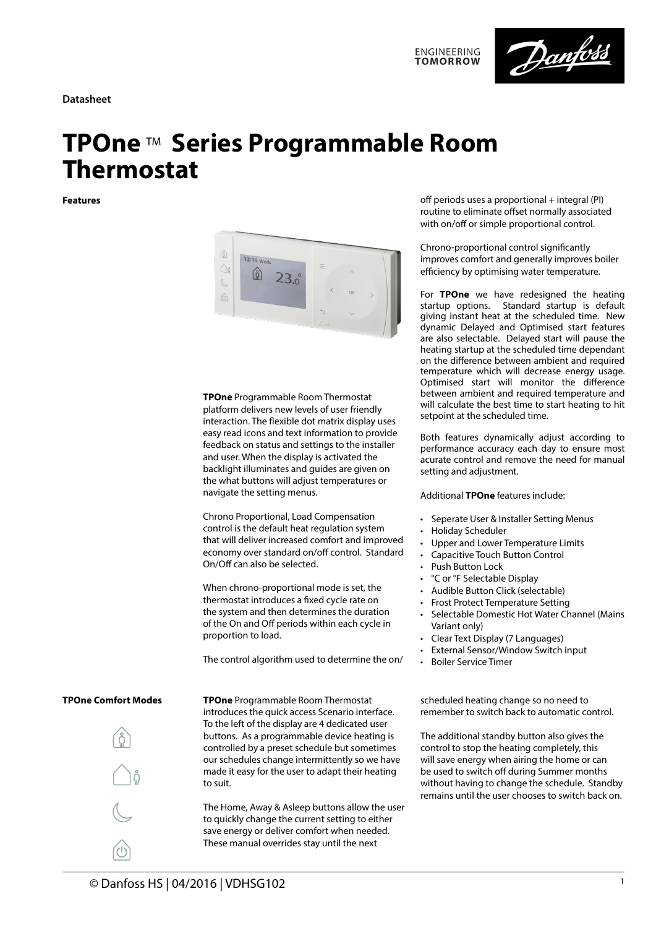**Datasheet**





# **TPOne** TM **Series Programmable Room Thermostat**

**Features**



**TPOne** Programmable Room Thermostat platform delivers new levels of user friendly interaction. The flexible dot matrix display uses easy read icons and text information to provide feedback on status and settings to the installer and user. When the display is activated the backlight illuminates and guides are given on the what buttons will adjust temperatures or navigate the setting menus.

Chrono Proportional, Load Compensation control is the default heat regulation system that will deliver increased comfort and improved economy over standard on/off control. Standard On/Off can also be selected.

When chrono-proportional mode is set, the thermostat introduces a fixed cycle rate on the system and then determines the duration of the On and Off periods within each cycle in proportion to load.

The control algorithm used to determine the on/

**TPOne** Programmable Room Thermostat introduces the quick access Scenario interface. To the left of the display are 4 dedicated user buttons. As a programmable device heating is controlled by a preset schedule but sometimes our schedules change intermittently so we have made it easy for the user to adapt their heating to suit.

The Home, Away & Asleep buttons allow the user to quickly change the current setting to either save energy or deliver comfort when needed. These manual overrides stay until the next

off periods uses a proportional  $+$  integral (PI) routine to eliminate offset normally associated with on/off or simple proportional control.

Chrono-proportional control significantly improves comfort and generally improves boiler efficiency by optimising water temperature.

For **TPOne** we have redesigned the heating startup options. Standard startup is default giving instant heat at the scheduled time. New dynamic Delayed and Optimised start features are also selectable. Delayed start will pause the heating startup at the scheduled time dependant on the difference between ambient and required temperature which will decrease energy usage. Optimised start will monitor the difference between ambient and required temperature and will calculate the best time to start heating to hit setpoint at the scheduled time.

Both features dynamically adjust according to performance accuracy each day to ensure most acurate control and remove the need for manual setting and adjustment.

Additional **TPOne** features include:

- Seperate User & Installer Setting Menus
- Holiday Scheduler
- Upper and Lower Temperature Limits
- Capacitive Touch Button Control
- Push Button Lock
- °C or °F Selectable Display
- Audible Button Click (selectable)
- Frost Protect Temperature Setting
- Selectable Domestic Hot Water Channel (Mains Variant only)
- Clear Text Display (7 Languages)
- External Sensor/Window Switch input
- Boiler Service Timer

scheduled heating change so no need to remember to switch back to automatic control.

The additional standby button also gives the control to stop the heating completely, this will save energy when airing the home or can be used to switch off during Summer months without having to change the schedule. Standby remains until the user chooses to switch back on.

### **TPOne Comfort Modes**